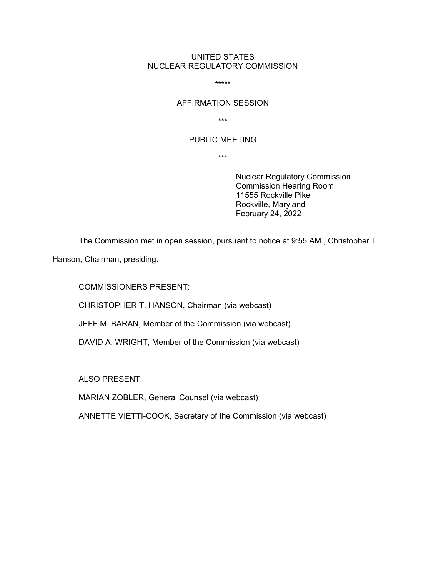## UNITED STATES NUCLEAR REGULATORY COMMISSION

\*\*\*\*\*

# AFFIRMATION SESSION

\*\*\*

### PUBLIC MEETING

\*\*\*

Nuclear Regulatory Commission Commission Hearing Room 11555 Rockville Pike Rockville, Maryland February 24, 2022

The Commission met in open session, pursuant to notice at 9:55 AM., Christopher T.

Hanson, Chairman, presiding.

COMMISSIONERS PRESENT:

CHRISTOPHER T. HANSON, Chairman (via webcast)

JEFF M. BARAN, Member of the Commission (via webcast)

DAVID A. WRIGHT, Member of the Commission (via webcast)

ALSO PRESENT:

MARIAN ZOBLER, General Counsel (via webcast)

ANNETTE VIETTI-COOK, Secretary of the Commission (via webcast)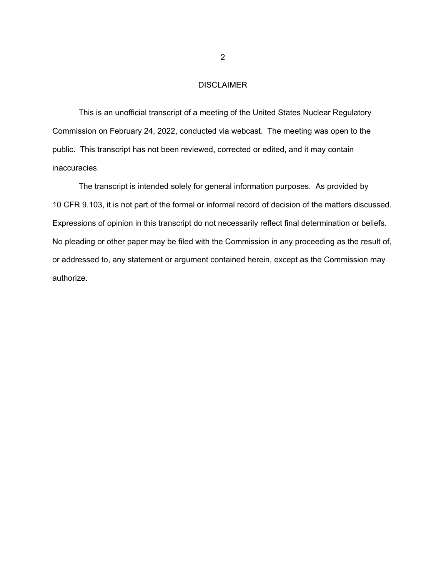# DISCLAIMER

This is an unofficial transcript of a meeting of the United States Nuclear Regulatory Commission on February 24, 2022, conducted via webcast. The meeting was open to the public. This transcript has not been reviewed, corrected or edited, and it may contain inaccuracies.

The transcript is intended solely for general information purposes. As provided by 10 CFR 9.103, it is not part of the formal or informal record of decision of the matters discussed. Expressions of opinion in this transcript do not necessarily reflect final determination or beliefs. No pleading or other paper may be filed with the Commission in any proceeding as the result of, or addressed to, any statement or argument contained herein, except as the Commission may authorize.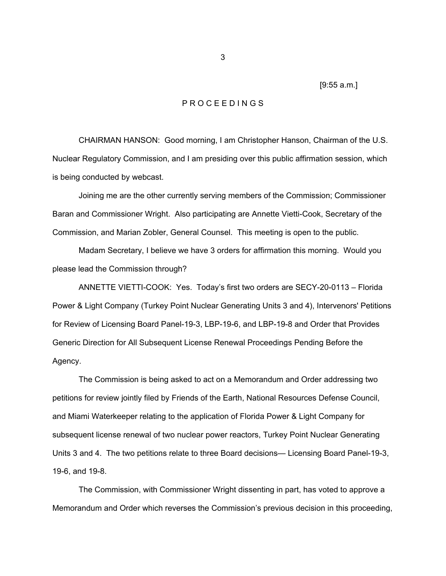[9:55 a.m.]

#### P R O C E E D I N G S

 CHAIRMAN HANSON: Good morning, I am Christopher Hanson, Chairman of the U.S. Nuclear Regulatory Commission, and I am presiding over this public affirmation session, which is being conducted by webcast.

 Joining me are the other currently serving members of the Commission; Commissioner Baran and Commissioner Wright. Also participating are Annette Vietti-Cook, Secretary of the Commission, and Marian Zobler, General Counsel. This meeting is open to the public.

 Madam Secretary, I believe we have 3 orders for affirmation this morning. Would you please lead the Commission through?

 ANNETTE VIETTI-COOK: Yes. Today's first two orders are SECY-20-0113 – Florida Power & Light Company (Turkey Point Nuclear Generating Units 3 and 4), Intervenors' Petitions for Review of Licensing Board Panel-19-3, LBP-19-6, and LBP-19-8 and Order that Provides Generic Direction for All Subsequent License Renewal Proceedings Pending Before the Agency.

 The Commission is being asked to act on a Memorandum and Order addressing two petitions for review jointly filed by Friends of the Earth, National Resources Defense Council, and Miami Waterkeeper relating to the application of Florida Power & Light Company for subsequent license renewal of two nuclear power reactors, Turkey Point Nuclear Generating Units 3 and 4. The two petitions relate to three Board decisions— Licensing Board Panel-19-3, 19-6, and 19-8.

 The Commission, with Commissioner Wright dissenting in part, has voted to approve a Memorandum and Order which reverses the Commission's previous decision in this proceeding,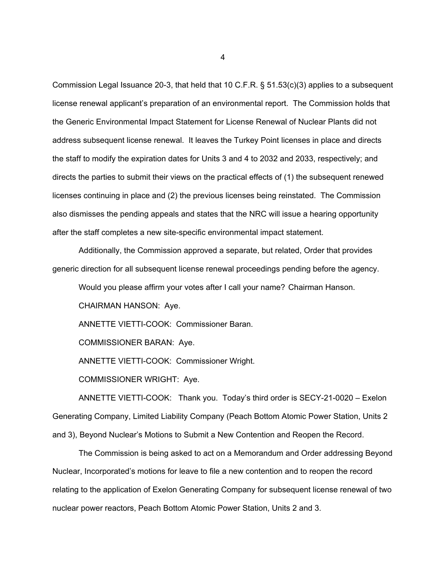Commission Legal Issuance 20-3, that held that 10 C.F.R. § 51.53(c)(3) applies to a subsequent license renewal applicant's preparation of an environmental report. The Commission holds that the Generic Environmental Impact Statement for License Renewal of Nuclear Plants did not address subsequent license renewal. It leaves the Turkey Point licenses in place and directs the staff to modify the expiration dates for Units 3 and 4 to 2032 and 2033, respectively; and directs the parties to submit their views on the practical effects of (1) the subsequent renewed licenses continuing in place and (2) the previous licenses being reinstated. The Commission also dismisses the pending appeals and states that the NRC will issue a hearing opportunity after the staff completes a new site-specific environmental impact statement.

 Additionally, the Commission approved a separate, but related, Order that provides generic direction for all subsequent license renewal proceedings pending before the agency.

Would you please affirm your votes after I call your name? Chairman Hanson.

CHAIRMAN HANSON: Aye.

ANNETTE VIETTI-COOK: Commissioner Baran.

COMMISSIONER BARAN: Aye.

ANNETTE VIETTI-COOK: Commissioner Wright.

COMMISSIONER WRIGHT: Aye.

 ANNETTE VIETTI-COOK: Thank you. Today's third order is SECY-21-0020 – Exelon Generating Company, Limited Liability Company (Peach Bottom Atomic Power Station, Units 2 and 3), Beyond Nuclear's Motions to Submit a New Contention and Reopen the Record.

 The Commission is being asked to act on a Memorandum and Order addressing Beyond Nuclear, Incorporated's motions for leave to file a new contention and to reopen the record relating to the application of Exelon Generating Company for subsequent license renewal of two nuclear power reactors, Peach Bottom Atomic Power Station, Units 2 and 3.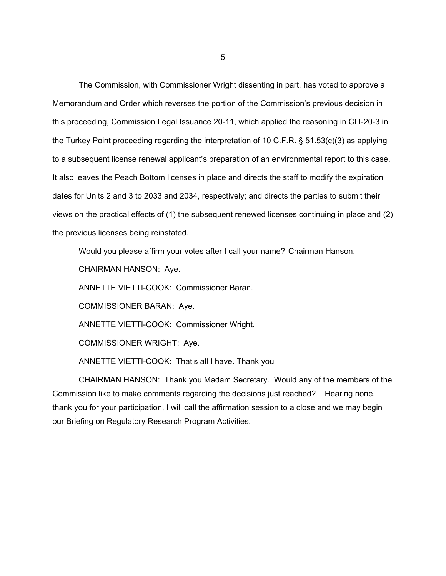The Commission, with Commissioner Wright dissenting in part, has voted to approve a Memorandum and Order which reverses the portion of the Commission's previous decision in this proceeding, Commission Legal Issuance 20-11, which applied the reasoning in CLI-20-3 in the Turkey Point proceeding regarding the interpretation of 10 C.F.R. § 51.53(c)(3) as applying to a subsequent license renewal applicant's preparation of an environmental report to this case. It also leaves the Peach Bottom licenses in place and directs the staff to modify the expiration dates for Units 2 and 3 to 2033 and 2034, respectively; and directs the parties to submit their views on the practical effects of (1) the subsequent renewed licenses continuing in place and (2) the previous licenses being reinstated.

Would you please affirm your votes after I call your name? Chairman Hanson.

CHAIRMAN HANSON: Aye.

ANNETTE VIETTI-COOK: Commissioner Baran.

COMMISSIONER BARAN: Aye.

ANNETTE VIETTI-COOK: Commissioner Wright.

COMMISSIONER WRIGHT: Aye.

ANNETTE VIETTI-COOK: That's all I have. Thank you

 CHAIRMAN HANSON: Thank you Madam Secretary. Would any of the members of the Commission like to make comments regarding the decisions just reached? Hearing none, thank you for your participation, I will call the affirmation session to a close and we may begin our Briefing on Regulatory Research Program Activities.